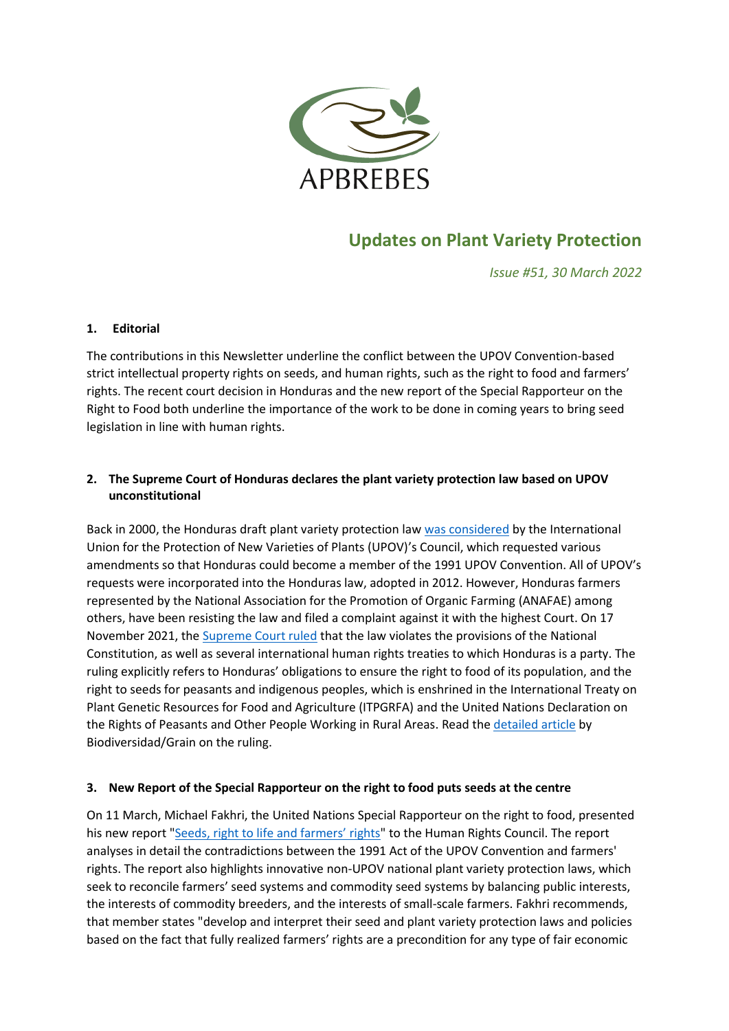

# **Updates on Plant Variety Protection**

*Issue #51, 30 March 2022*

#### **1. Editorial**

The contributions in this Newsletter underline the conflict between the UPOV Convention-based strict intellectual property rights on seeds, and human rights, such as the right to food and farmers' rights. The recent court decision in Honduras and the new report of the Special Rapporteur on the Right to Food both underline the importance of the work to be done in coming years to bring seed legislation in line with human rights.

## **2. The Supreme Court of Honduras declares the plant variety protection law based on UPOV unconstitutional**

Back in 2000, the Honduras draft plant variety protection law was [considered](https://www.upov.int/edocs/mdocs/upov/en/c_extr_17/c_extr_17_5.pdf) by the International Union for the Protection of New Varieties of Plants (UPOV)'s Council, which requested various amendments so that Honduras could become a member of the 1991 UPOV Convention. All of UPOV's requests were incorporated into the Honduras law, adopted in 2012. However, Honduras farmers represented by the National Association for the Promotion of Organic Farming (ANAFAE) among others, have been resisting the law and filed a complaint against it with the highest Court. On 17 November 2021, th[e Supreme Court ruled](https://www.apbrebes.org/sites/default/files/2022-03/INCONSTITUCIONALIDAD%20LEY%20PROTECCION%20DE%20OBTENCIONES%20VEGETALES%20HONDURAS%20ENERO%202022.pdf) that the law violates the provisions of the National Constitution, as well as several international human rights treaties to which Honduras is a party. The ruling explicitly refers to Honduras' obligations to ensure the right to food of its population, and the right to seeds for peasants and indigenous peoples, which is enshrined in the International Treaty on Plant Genetic Resources for Food and Agriculture (ITPGRFA) and the United Nations Declaration on the Rights of Peasants and Other People Working in Rural Areas. Read the [detailed article](https://grain.org/en/article/6809-seeds-in-the-hands-of-peasant-farmers-a-judgment-in-favour-of-food-sovereignty-in-honduras) by Biodiversidad/Grain on the ruling.

#### **3. New Report of the Special Rapporteur on the right to food puts seeds at the centre**

On 11 March, Michael Fakhri, the United Nations Special Rapporteur on the right to food, presented his new report "[Seeds, right to life and farmers' rights](https://digitallibrary.un.org/record/3956872)" to the Human Rights Council. The report analyses in detail the contradictions between the 1991 Act of the UPOV Convention and farmers' rights. The report also highlights innovative non-UPOV national plant variety protection laws, which seek to reconcile farmers' seed systems and commodity seed systems by balancing public interests, the interests of commodity breeders, and the interests of small-scale farmers. Fakhri recommends, that member states "develop and interpret their seed and plant variety protection laws and policies based on the fact that fully realized farmers' rights are a precondition for any type of fair economic